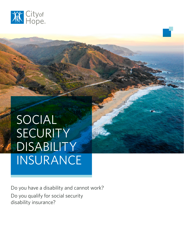

SOCIAL SECURITY DISABILITY INSURANCE

Do you have a disability and cannot work? Do you qualify for social security disability insurance?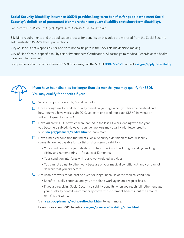## **Social Security Disability Insurance (SSDI) provides long-term benefits for people who meet Social Security's definition of permanent (for more than one year) disability (not short-term disability).**

*For short-term disability, see City of Hope's State Disability Insurance brochure.*

Eligibility requirements and the application process for benefits on this guide are mirrored from the Social Security Administration (SSA)'s latest publications.

City of Hope is not responsible for and does not participate in the SSA's claims decision making.

City of Hope's role is specific to Physician/Practitioners Certification. All forms go to Medical Records or the health care team for completion.

For questions about specific claims or SSDI processes, call the SSA at **800-772-1213** or visit **ssa.gov/applyfordisability.**



## **If you have been disabled for longer than six months, you may qualify for SSDI.** You may qualify for benefits if you:

- Worked in jobs covered by Social Security
- $\Box$  Have enough work credits to qualify based on your age when you became disabled and how long you have worked (In 2019, you earn one credit for each \$1,360 in wages or self-employment income.)
- $\Box$  Have 40 credits, 20 of which were earned in the last 10 years, ending with the year you become disabled. However, younger workers may qualify with fewer credits. Visit **ssa.gov/planners/credits.html** to learn more.
- $\Box$  Have a medical condition that meets Social Security's definition of total disability (Benefits are not payable for partial or short-term disability.)
	- Your condition limits your ability to do basic work such as lifting, standing, walking, sitting and remembering — for at least 12 months.
	- Your condition interferes with basic work-related activities.
	- You cannot adjust to other work because of your medical condition(s), and you cannot do work that you did before.
- $\Box$  Are unable to work for at least one year or longer because of the medical condition
	- Benefits usually continue until you are able to work again on a regular basis.
	- If you are receiving Social Security disability benefits when you reach full retirement age, your disability benefits automatically convert to retirement benefits, but the amount remains the same.

Visit **ssa.gov/planners/retire/retirechart.html** to learn more.

**Learn more about SSDI benefits: ssa.gov/planners/disability/index.html**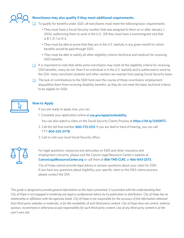

## **Noncitizens may also qualify if they meet additional requirements.**

To qualify for benefits under SSDI, all noncitizens must meet the following basic requirements:

- They must have a Social Security number that was assigned to them on or after January 1, 2004, authorizing them to work in the U.S., OR they must have a nonimmigrant visa that is B-1, D-1 or D-2.
- They must be able to prove that they are in the U.S. lawfully in any given month for which benefits would be paid through SSDI.
- They must be able to satisfy all other eligibility criteria (technical and medical) for receiving SSDI benefits.
- $\Box$  It is important to note that while some noncitizens may meet all the eligibility criteria for receiving SSDI benefits, many do not. Even if an individual is in the U.S. lawfully and is authorized to work by the SSA, many noncitizen students and other workers are exempt from paying Social Security taxes.
- $\Box$  The lack of contributions to the SSDI fund over the course of these noncitizens' employment disqualifies them from receiving disability benefits, as they do not meet the basic technical criteria to be eligible for SSDI.



## **How to Apply**

If you are ready to apply now, you can:

- 1. Complete your application online at **ssa.gov/applyfordisability.**
	- You can also watch a video on the Social Security Claims Process at **https://bit.ly/2cE08TC.**
- 2. Call the toll-free number **800-772-1213**. If you are deaf or hard of hearing, you can call TTY **800-325-0778**.
- 3. Call or visit your local Social Security office.



For legal questions, resources and advocates on SSDI and other insurance and employment concerns, please visit the Cancer Legal Resource Center's website at **CancerLegalResourceCenter.org** or call them at **866-THE-CLRC** or **866-843-2572**.

City of Hope cannot provide legal advice or answer questions about your claim for SSDI. If you have any questions about eligibility, your specific claim or the SSDI claims process, please contact the SSA.

*This guide is designed to provide general information on the topics presented. It is provided with the understanding that City of Hope is not engaged in rendering any legal or professional advice by its publication or distribution. City of Hope has no relationship or affiliation with the agencies listed. City of Hope is not responsible for the accuracy of the information obtained from third party websites or materials, or for the availability of such third-party content. City of Hope does not control, endorse, sponsor, recommend or otherwise accept responsibility for such third-party content. Use of any third-party content is at the user's own risk.*